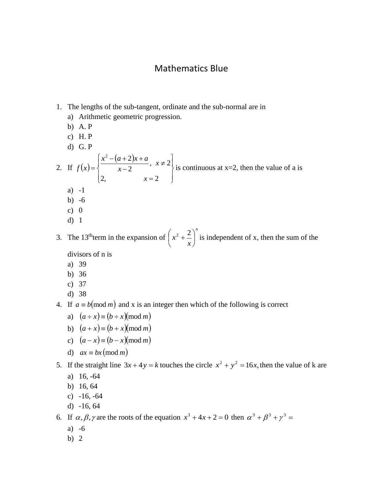## Mathematics Blue

- 1. The lengths of the sub-tangent, ordinate and the sub-normal are in
	- a) Arithmetic geometric progression.
	- b) A. P
	- c) H. P
	- d) G. P

2. If 
$$
f(x) = \begin{cases} \frac{x^2 - (a+2)x + a}{x-2}, & x \neq 2 \\ 2, & x = 2 \end{cases}
$$
 is continuous at x=2, then the value of a is

- a) -1
- b) -6
- c)  $0$
- d) 1

3. The  $13<sup>th</sup>$ term in the expansion of *n x*  $x^2 + \frac{2}{x}$ J  $\left(x^2+\frac{2}{x}\right)$  $\setminus$  $\left(x^2 + \frac{2}{x}\right)^n$  is independent of x, then the sum of the divisors of n is

- a) 39
- b) 36
- c) 37
- d) 38
- 4. If  $a \equiv b \pmod{m}$  and x is an integer then which of the following is correct
	- a)  $(a \div x) \equiv (b \div x) \pmod{m}$
	- b)  $(a+x) \equiv (b+x) \pmod{m}$
	- c)  $(a-x) \equiv (b-x) \pmod{m}$
	- d)  $ax \equiv bx \pmod{m}$

5. If the straight line  $3x + 4y = k$  touches the circle  $x^2 + y^2 = 16x$ , then the value of k are

- a) 16, -64
- b) 16, 64
- c) -16, -64
- d) -16, 64

6. If  $\alpha, \beta, \gamma$  are the roots of the equation  $x^3 + 4x + 2 = 0$  then  $\alpha^3 + \beta^3 + \gamma^3 =$ 

- a) -6
- b) 2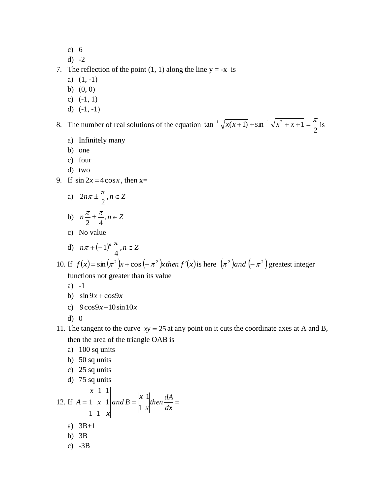- c) 6
- d) -2

7. The reflection of the point  $(1, 1)$  along the line  $y = -x$  is

- a)  $(1, -1)$
- b) (0, 0)
- c) (-1, 1)
- d)  $(-1, -1)$

8. The number of real solutions of the equation 2  $\tan^{-1}\sqrt{x(x+1)} + \sin^{-1}\sqrt{x^2 + x + 1} = \frac{\pi}{2}$  is

- a) Infinitely many
- b) one
- c) four
- d) two
- 9. If  $\sin 2x = 4\cos x$ , then  $x=$

a) 
$$
2n\pi \pm \frac{\pi}{2}, n \in \mathbb{Z}
$$

b) 
$$
n \frac{\pi}{2} \pm \frac{\pi}{4}, n \in \mathbb{Z}
$$

c) No value

d) 
$$
n\pi + (-1)^n \frac{\pi}{4}, n \in \mathbb{Z}
$$

- 10. If  $f(x) = \sin(\pi^2)x + \cos(-\pi^2)x$  *then*  $f'(x)$  is here  $(\pi^2)$  *and*  $(-\pi^2)$  greatest integer functions not greater than its value
	- a) -1
	- b)  $\sin 9x + \cos 9x$
	- c)  $9\cos 9x 10\sin 10x$
	- d) 0
- 11. The tangent to the curve  $xy = 25$  at any point on it cuts the coordinate axes at A and B, then the area of the triangle OAB is
	- a) 100 sq units
	- b) 50 sq units

c) 
$$
25 \text{ sq units}
$$

d) 75 sq units

12. If 
$$
A = \begin{vmatrix} x & 1 & 1 \\ 1 & x & 1 \\ 1 & 1 & x \end{vmatrix}
$$
 and  $B = \begin{vmatrix} x & 1 \\ 1 & x \end{vmatrix}$  then  $\frac{dA}{dx} =$   
\na) 3B+1  
\nb) 3B  
\nc) -3B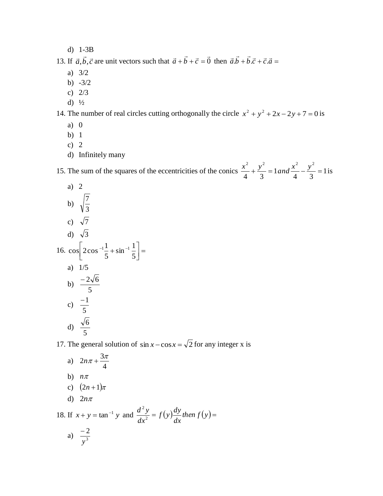d) 1-3B

13. If  $\vec{a}$ ,  $\vec{b}$ ,  $\vec{c}$  are unit vectors such that  $\vec{a} + \vec{b} + \vec{c} = \vec{0}$  $\vec{a} + \vec{b} + \vec{c} = \vec{0}$  then  $\vec{a} \cdot \vec{b} + \vec{b} \cdot \vec{c} + \vec{c} \cdot \vec{a} =$ 

- a) 3/2
- b) -3/2
- c) 2/3
- d)  $\frac{1}{2}$

14. The number of real circles cutting orthogonally the circle  $x^2 + y^2 + 2x - 2y + 7 = 0$  is

- a) 0
- b) 1
- c) 2
- d) Infinitely many

15. The sum of the squares of the eccentricities of the conics  $\frac{x}{1} + \frac{y}{2} = 1$  and  $\frac{x}{1} - \frac{y}{2} = 1$ 4 3 1 4 3 2  $\frac{1}{2}$   $\frac{2}{2}$   $\frac{2}{2}$  $\frac{x^2}{a} + \frac{y^2}{2} = 1$  and  $\frac{x^2}{b} - \frac{y^2}{2} = 1$  is

a) 2  
\nb) 
$$
\sqrt{\frac{7}{3}}
$$
  
\nc)  $\sqrt{7}$   
\nd)  $\sqrt{3}$   
\n16.  $\cos \left[2 \cos^{-1} \frac{1}{5} + \sin^{-1} \frac{1}{5}\right] =$   
\na) 1/5  
\nb)  $\frac{-2\sqrt{6}}{5}$   
\nc)  $\frac{-1}{5}$   
\nd)  $\frac{\sqrt{6}}{5}$ 

17. The general solution of  $\sin x - \cos x = \sqrt{2}$  for any integer x is

*dx*

a) 4  $2n\pi + \frac{3\pi}{4}$ b)  $n\pi$ c)  $(2n+1)\pi$ d)  $2n\pi$ 18. If  $x + y = \tan^{-1} y$  and  $\frac{dy}{dx} = f(y) \frac{dy}{dx}$  then  $f(y) =$  $f(y) \frac{dy}{dx}$ *dx*  $d^2y$ 2 2 a)  $\frac{2}{3}$ 2 *y* -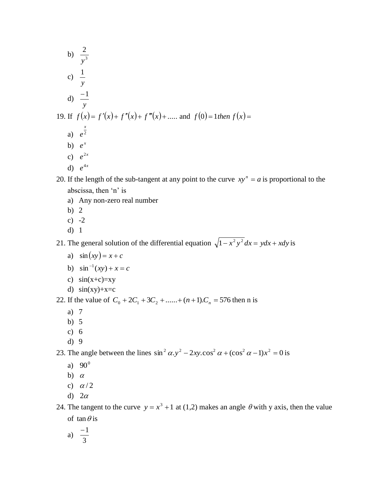- b)  $\frac{2}{3}$ 2 *y* c) *y* 1 d) *y* 1 19. If  $f(x) = f'(x) + f''(x) + f'''(x) + \dots$  and  $f(0) = 1$ *then*  $f(x) =$ a)  $e^2$ *x e* b)  $e^x$ c)  $e^{2x}$ d)  $e^{4x}$
- 20. If the length of the sub-tangent at any point to the curve  $xy^n = a$  is proportional to the abscissa, then 'n' is
	- a) Any non-zero real number
	- b) 2
	- c)  $-2$
	- d) 1

21. The general solution of the differential equation  $\sqrt{1-x^2y^2} dx = ydx + xdy$  is

- a)  $\sin(xy) = x + c$
- b)  $\sin^{-1}(xy) + x = c$
- c)  $sin(x+c)=xy$
- d)  $sin(xy)+x=c$

22. If the value of  $C_0 + 2C_1 + 3C_2 + \dots + (n+1)C_n = 576$  then n is

- a) 7
- b) 5
- c) 6
- d) 9

23. The angle between the lines  $\sin^2 \alpha$ .  $y^2 - 2xy$ .  $\cos^2 \alpha + (\cos^2 \alpha - 1)x^2 = 0$  is

- a)  $90^{\circ}$
- b)  $\alpha$
- c)  $\alpha/2$
- d)  $2\alpha$

24. The tangent to the curve  $y = x^3 + 1$  at (1,2) makes an angle  $\theta$  with y axis, then the value of  $\tan \theta$  is

a) 
$$
\frac{-1}{3}
$$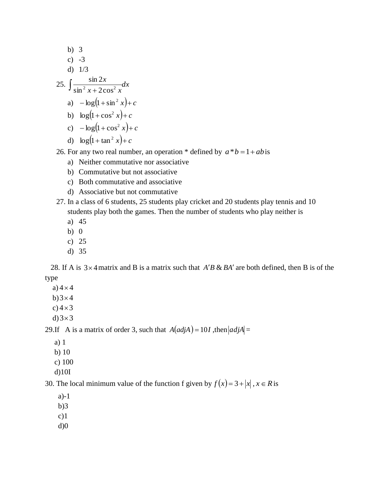b) 3  
\nc) -3  
\nd) 1/3  
\n25. 
$$
\int \frac{\sin 2x}{\sin^2 x + 2\cos^2 x} dx
$$
\na) 
$$
-\log(1 + \sin^2 x) + c
$$
\nb) 
$$
\log(1 + \cos^2 x) + c
$$
\nc) 
$$
-\log(1 + \cos^2 x) + c
$$
\nd) 
$$
\log(1 + \tan^2 x) + c
$$

26. For any two real number, an operation  $*$  defined by  $a * b = 1 + ab$  is

- a) Neither commutative nor associative
- b) Commutative but not associative
- c) Both commutative and associative
- d) Associative but not commutative
- 27. In a class of 6 students, 25 students play cricket and 20 students play tennis and 10 students play both the games. Then the number of students who play neither is
	- a) 45
	- b) 0
	- c) 25
	- d) 35

28. If A is  $3 \times 4$  matrix and B is a matrix such that  $A'B \& BA'$  are both defined, then B is of the type

- a)  $4 \times 4$
- $b)$  3  $\times$  4
- c) $4 \times 3$
- d)  $3 \times 3$

29. If A is a matrix of order 3, such that  $A(\text{adj}A) = 10I$ , then  $|\text{adj}A| =$ 

- a) 1
- b) 10
- c) 100
- d)10I

30. The local minimum value of the function f given by  $f(x) = 3 + |x|$ ,  $x \in R$  is

- a)-1
- b)3
- $c)1$
- $d$  $0$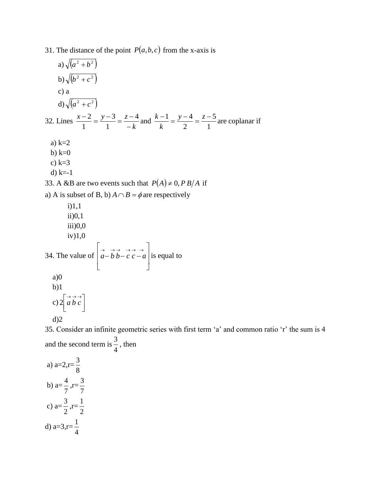31. The distance of the point  $P(a, b, c)$  from the x-axis is

a) 
$$
\sqrt{(a^2 + b^2)}
$$
  
\nb)  $\sqrt{(b^2 + c^2)}$   
\nc) a  
\nd)  $\sqrt{(a^2 + c^2)}$   
\n32. Lines  $\frac{x-2}{1} = \frac{y-3}{1} = \frac{z-4}{-k}$  and  $\frac{k-1}{k} = \frac{y-4}{2} = \frac{z-5}{1}$  are coplanar if  
\na) k=2  
\nb) k=0  
\nc) k=3  
\nd) k=-1  
\n33. A & B are two events such that  $P(A) \ne 0, PB/A$  if  
\na) A is subset of B, b)  $A \cap B = \phi$  are respectively  
\ni)1,1  
\nii)0,1  
\niii)0,0  
\niv)1,0  
\n34. The value of  $\begin{bmatrix} \vec{a} & \vec{b} & \vec{b} & \vec{c} \\ \vec{a} - \vec{b} & \vec{b} - \vec{c} & \vec{c} - \vec{a} \\ 0 & 0 & 0 \end{bmatrix}$  is equal to  
\na)0  
\nb)1

35. Consider an infinite geometric series with first term 'a' and common ratio 'r' the sum is 4 and the second term is 4  $\frac{3}{1}$ , then

a) a=2,r= 8 3 b) a= 7  $\frac{4}{5}$ , r= 7 3 c) a= 2  $\frac{3}{5}$ , r= 2 1 d) a=3,r= 4 1

c)  $2\left[a b c\right]$ 

L  $2 \begin{bmatrix} \rightarrow & \rightarrow & \rightarrow \\ a & b & c \end{bmatrix}$ 

d)2

 $\overline{\phantom{a}}$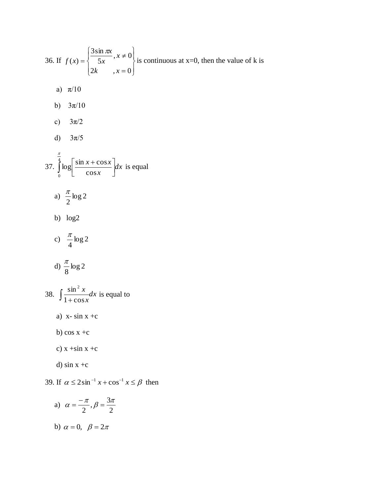36. If 
$$
f(x) = \begin{cases} \frac{3\sin \pi x}{5x}, x \neq 0 \\ 2k, x = 0 \end{cases}
$$
 is continuous at x=0, then the value of k is  
\na)  $\pi/10$   
\nb)  $3\pi/10$   
\nc)  $3\pi/2$   
\nd)  $3\pi/5$   
\n37.  $\int_{0}^{\frac{\pi}{4}} \log \left[ \frac{\sin x + \cos x}{\cos x} \right] dx$  is equal  
\na)  $\frac{\pi}{2} \log 2$   
\nb)  $\log 2$   
\nc)  $\frac{\pi}{4} \log 2$   
\nd)  $\frac{\pi}{8} \log 2$   
\n38.  $\int \frac{\sin^2 x}{1 + \cos x} dx$  is equal to  
\na) x- sin x + c  
\nb) cos x + c  
\nc) x + sin x + c  
\nd) sin x + c  
\nd) sin x + c  
\n39. If  $\alpha \le 2\sin^{-1} x + \cos^{-1} x \le \beta$  then

a) 
$$
\alpha = \frac{-\pi}{2}, \beta = \frac{3\pi}{2}
$$
  
b)  $\alpha = 0, \ \beta = 2\pi$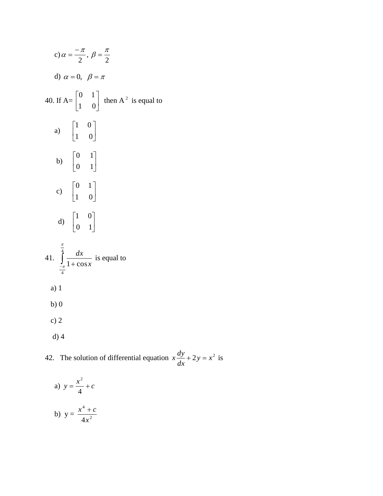c) 
$$
\alpha = \frac{-\pi}{2}, \beta = \frac{\pi}{2}
$$
  
\nd)  $\alpha = 0, \beta = \pi$   
\n40. If A= $\begin{bmatrix} 0 & 1 \\ 1 & 0 \end{bmatrix}$  then A<sup>2</sup> is equal to  
\na)  $\begin{bmatrix} 1 & 0 \\ 1 & 0 \end{bmatrix}$   
\nb)  $\begin{bmatrix} 0 & 1 \\ 0 & 1 \end{bmatrix}$   
\nc)  $\begin{bmatrix} 0 & 1 \\ 1 & 0 \end{bmatrix}$   
\nd)  $\begin{bmatrix} 1 & 0 \\ 0 & 1 \end{bmatrix}$   
\n41.  $\int_{-\frac{\pi}{4}}^{\frac{\pi}{4}} \frac{dx}{1 + \cos x}$  is equal to  
\na) 1  
\nb) 0  
\nc) 2  
\nd) 4

42. The solution of differential equation  $x \frac{dy}{dx} + 2y = x^2$ *dx*  $x\frac{dy}{dx} + 2y = x^2$  is

a) 
$$
y = \frac{x^2}{4} + c
$$
  
b) 
$$
y = \frac{x^4 + c}{4x^2}
$$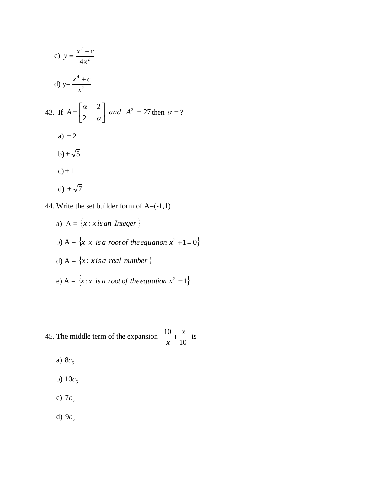c) 
$$
y = \frac{x^2 + c}{4x^2}
$$
  
\nd)  $y = \frac{x^4 + c}{x^2}$   
\n43. If  $A = \begin{bmatrix} \alpha & 2 \\ 2 & \alpha \end{bmatrix}$  and  $|A^3| = 27$  then  $\alpha = ?$   
\na)  $\pm 2$   
\nb)  $\pm \sqrt{5}$   
\nc)  $\pm 1$   
\nd)  $\pm \sqrt{7}$ 

44. Write the set builder form of  $A = (-1,1)$ 

a) 
$$
A = \{x : x \text{ is an Integer}\}\
$$
  
\nb)  $A = \{x : x \text{ is a root of the equation } x^2 + 1 = 0\}$   
\nd)  $A = \{x : x \text{ is a real number}\}\$   
\ne)  $A = \{x : x \text{ is a root of the equation } x^2 = 1\}$ 

45. The middle term of the expansion 
$$
\left[\frac{10}{x} + \frac{x}{10}\right]
$$
 is

- a) <sup>5</sup> 8*c*
- b)  $10c_5$
- c)  $7c_5$
- d)  $9c_5$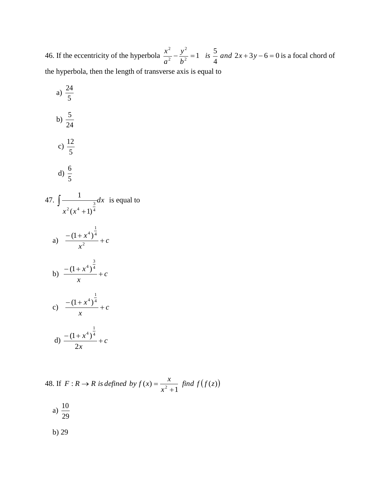46. If the eccentricity of the hyperbola  $\frac{x}{2} - \frac{y}{1} = 1$  is  $\frac{3}{2}$  and  $2x + 3y - 6 = 0$ 4  $\frac{2}{2}$  = 1 is  $\frac{5}{4}$ 2 2 2  $\frac{y}{\sqrt{2}} = 1$  is  $\frac{3}{2}$  and  $2x + 3y - 6 = 0$ *b y a*  $\frac{x^2}{2} - \frac{y^2}{2} = 1$  is  $\frac{5}{4}$  and  $2x + 3y - 6 = 0$  is a focal chord of the hyperbola, then the length of transverse axis is equal to

a) 
$$
\frac{24}{5}
$$
  
\nb)  $\frac{5}{24}$   
\nc)  $\frac{12}{5}$   
\nd)  $\frac{6}{5}$   
\n47.  $\int \frac{1}{x^2(x^4+1)^{\frac{3}{4}}} dx$  is equal to  
\na)  $\frac{-(1+x^4)^{\frac{1}{4}}}{x^2} + c$   
\nb)  $\frac{-(1+x^4)^{\frac{3}{4}}}{x} + c$   
\nc)  $\frac{-(1+x^4)^{\frac{3}{4}}}{x} + c$   
\nd)  $\frac{-(1+x^4)^{\frac{1}{4}}}{2x} + c$ 

48. If  $F: R \to R$  is defined by  $f(x) = \frac{x}{\sqrt{2}}$  find  $f(f(z))$ 1  $i: R \to R$  is defined by  $f(x) = \frac{x}{x^2 + 1}$  find  $f(f(z))$ *x*  $F: R \to R$  *is defined by*  $f(x) = \frac{x}{2}$  $\overline{+}$  $\rightarrow$  R is defined by  $f(x) =$ 

a) 
$$
\frac{10}{29}
$$

b) 29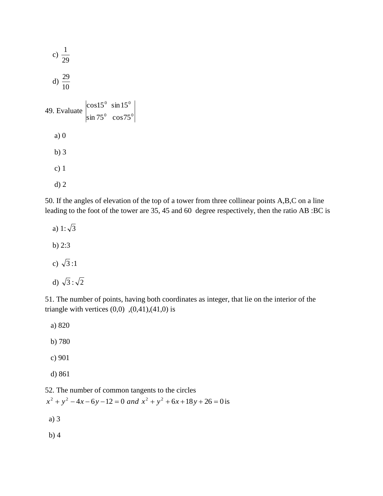

50. If the angles of elevation of the top of a tower from three collinear points A,B,C on a line leading to the foot of the tower are 35, 45 and 60 degree respectively, then the ratio AB :BC is

a) 1: $\sqrt{3}$  b) 2:3 c)  $\sqrt{3}$ :1 d)  $\sqrt{3}$ : $\sqrt{2}$ 

51. The number of points, having both coordinates as integer, that lie on the interior of the triangle with vertices  $(0,0)$ ,  $(0,41)$ ,  $(41,0)$  is

 a) 820 b) 780 c) 901 d) 861

52. The number of common tangents to the circles  $x^{2} + y^{2} - 4x - 6y - 12 = 0$  and  $x^{2} + y^{2} + 6x + 18y + 26 = 0$  is a) 3 b) 4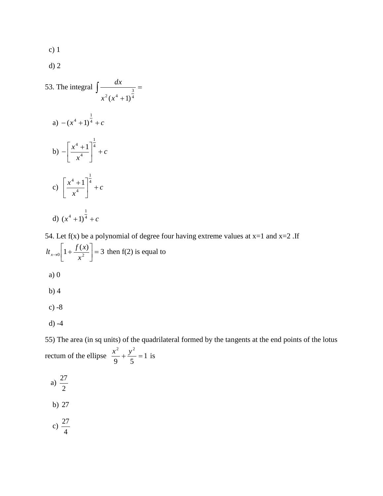c) 1

d) 2

53. The integral 
$$
\int \frac{dx}{x^2 (x^4 + 1)^{\frac{3}{4}}} =
$$
  
\na)  $-(x^4 + 1)^{\frac{1}{4}} + c$   
\nb)  $-\left[\frac{x^4 + 1}{x^4}\right]^{\frac{1}{4}} + c$   
\nc)  $\left[\frac{x^4 + 1}{x^4}\right]^{\frac{1}{4}} + c$   
\nd)  $(x^4 + 1)^{\frac{1}{4}} + c$ 

54. Let  $f(x)$  be a polynomial of degree four having extreme values at  $x=1$  and  $x=2$ . If  $\left[1 + \frac{f(x)}{x^2}\right] = 3$  $\overline{\phantom{a}}$  $\overline{\phantom{a}}$  $\rightarrow 0$   $\left[1+\frac{f(}{x}\right]$  $\int_0^1 1 + \frac{f(x)}{2} dx = 3$  then f(2) is equal to a) 0 b) 4 c) -8

 $d) -4$ 

55) The area (in sq units) of the quadrilateral formed by the tangents at the end points of the lotus rectum of the ellipse  $\frac{x}{2} + \frac{y}{7} = 1$ 9 5 2 .2  $\frac{x^2}{2} + \frac{y^2}{2} = 1$  is

a) 
$$
\frac{27}{2}
$$
  
b) 27  
c)  $\frac{27}{4}$ 

4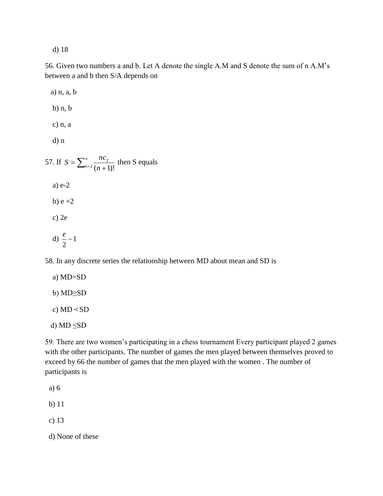d) 18

56. Given two numbers a and b. Let A denote the single A.M and S denote the sum of n A.M's between a and b then S/A depends on

 a) n, a, b b) n, b c) n, a d) n 57. If  $S = \sum_{n=1}^{\infty}$  $^{-2} (n +$  $=\sum_{n=2}^{\infty}$ 2  $n=2 (n+1)!$  $S = \sum_{n=0}^{\infty} \frac{nc_2}{(n^2+1)^2}$  then S equals a) e-2 b)  $e + 2$  c) 2e d)  $\frac{e}{2} - 1$ 2  $\frac{e}{1}$ 

58. In any discrete series the relationship between MD about mean and SD is

 a) MD=SD b) MD≥SD c)  $MD \prec SD$ 

d) MD ≤SD

59. There are two women's participating in a chess tournament Every participant played 2 games with the other participants. The number of games the men played between themselves proved to exceed by 66 the number of games that the men played with the women . The number of participants is

- a) 6
- b) 11
- c) 13

d) None of these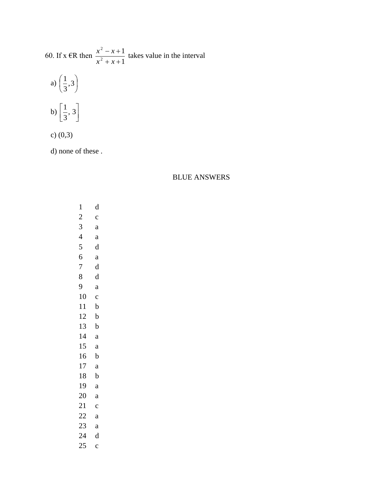60. If x 
$$
\in \mathbb{R}
$$
 then  $\frac{x^2 - x + 1}{x^2 + x + 1}$  takes value in the interval  
a)  $\left(\frac{1}{3}, 3\right)$   
b)  $\left[\frac{1}{3}, 3\right]$ 

c) (0,3)

d) none of these .

BLUE ANSWERS

| $\mathbf 1$    | d           |
|----------------|-------------|
| $\overline{c}$ | $\mathbf c$ |
| 3              | a           |
| $\overline{4}$ | a           |
| 5              | d           |
| 6              | a           |
| 7              | $\mathbf d$ |
| 8              | d           |
| 9              | a           |
| 10             | $\mathbf c$ |
| 11             | b           |
| 12             | b           |
| 13             | $\mathbf b$ |
| 14             | a           |
| 15             | a           |
| 16             | b           |
| 17             | a           |
| 18             | b           |
| 19             | a           |
| 20             | a           |
| 21             | $\mathbf c$ |
| 22             | a           |
| 23             | a           |
| 24             | d           |
| 25             | $\mathbf c$ |